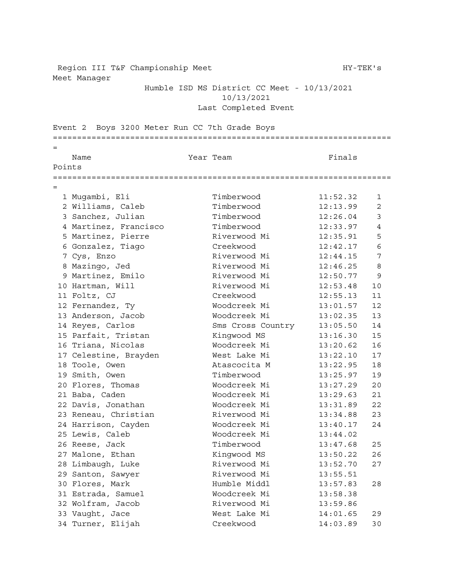Region III T&F Championship Meet HY-TEK's Meet Manager

## Humble ISD MS District CC Meet - 10/13/2021 10/13/2021 Last Completed Event

Event 2 Boys 3200 Meter Run CC 7th Grade Boys ====================================================================== = Name **Name** Team Team Team **Finals** Points ====================================================================== = Mugambi, Eli Timberwood 11:52.32 1 Williams, Caleb Timberwood 12:13.99 2 Sanchez, Julian Timberwood 12:26.04 3 4 Martinez, Francisco  $I2:33.97$  4 5 Martinez, Pierre **Riverwood Mi** 12:35.91 5 Gonzalez, Tiago Creekwood 12:42.17 6 Cys, Enzo Riverwood Mi 12:44.15 7 Mazingo, Jed Riverwood Mi 12:46.25 8 9 Martinez, Emilo Riverwood Mi 12:50.77 9 Hartman, Will Riverwood Mi 12:53.48 10 Foltz, CJ Creekwood 12:55.13 11 Fernandez, Ty Woodcreek Mi 13:01.57 12 13 Anderson, Jacob Moodcreek Mi 13:02.35 13 Reyes, Carlos Sms Cross Country 13:05.50 14 15 Parfait, Tristan Kingwood MS 13:16.30 15 Triana, Nicolas Woodcreek Mi 13:20.62 16 19 Industry Research Control Control Mest Lake Mi 13:22.10 17 Toole, Owen Atascocita M 13:22.95 18 19 Smith, Owen Timberwood 13:25.97 19 Flores, Thomas Woodcreek Mi 13:27.29 20 Baba, Caden Woodcreek Mi 13:29.63 21 Davis, Jonathan Woodcreek Mi 13:31.89 22 23 Reneau, Christian and Riverwood Mi 13:34.88 23 Harrison, Cayden Woodcreek Mi 13:40.17 24 Lewis, Caleb Woodcreek Mi 13:44.02 Reese, Jack Timberwood 13:47.68 25 Malone, Ethan Kingwood MS 13:50.22 26 Limbaugh, Luke Riverwood Mi 13:52.70 27 Santon, Sawyer Riverwood Mi 13:55.51 Flores, Mark Humble Middl 13:57.83 28 Estrada, Samuel Woodcreek Mi 13:58.38 Wolfram, Jacob Riverwood Mi 13:59.86 Vaught, Jace West Lake Mi 14:01.65 29 Turner, Elijah Creekwood 14:03.89 30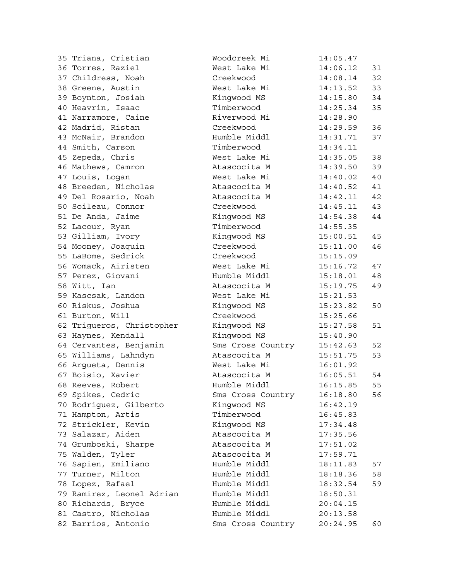| 35 Triana, Cristian       | Woodcreek Mi      | 14:05.47 |    |
|---------------------------|-------------------|----------|----|
| 36 Torres, Raziel         | West Lake Mi      | 14:06.12 | 31 |
| 37 Childress, Noah        | Creekwood         | 14:08.14 | 32 |
| 38 Greene, Austin         | West Lake Mi      | 14:13.52 | 33 |
| 39 Boynton, Josiah        | Kingwood MS       | 14:15.80 | 34 |
| 40 Heavrin, Isaac         | Timberwood        | 14:25.34 | 35 |
| 41 Narramore, Caine       | Riverwood Mi      | 14:28.90 |    |
| 42 Madrid, Ristan         | Creekwood         | 14:29.59 | 36 |
| 43 McNair, Brandon        | Humble Middl      | 14:31.71 | 37 |
| 44 Smith, Carson          | Timberwood        | 14:34.11 |    |
| 45 Zepeda, Chris          | West Lake Mi      | 14:35.05 | 38 |
| 46 Mathews, Camron        | Atascocita M      | 14:39.50 | 39 |
| 47 Louis, Logan           | West Lake Mi      | 14:40.02 | 40 |
| 48 Breeden, Nicholas      | Atascocita M      | 14:40.52 | 41 |
| 49 Del Rosario, Noah      | Atascocita M      | 14:42.11 | 42 |
| 50 Soileau, Connor        | Creekwood         | 14:45.11 | 43 |
| 51 De Anda, Jaime         | Kingwood MS       | 14:54.38 | 44 |
| 52 Lacour, Ryan           | Timberwood        | 14:55.35 |    |
| 53 Gilliam, Ivory         | Kingwood MS       | 15:00.51 | 45 |
| 54 Mooney, Joaquin        | Creekwood         | 15:11.00 | 46 |
| 55 LaBome, Sedrick        | Creekwood         | 15:15.09 |    |
| 56 Womack, Airisten       | West Lake Mi      | 15:16.72 | 47 |
| 57 Perez, Giovani         | Humble Middl      | 15:18.01 | 48 |
| 58 Witt, Ian              | Atascocita M      | 15:19.75 | 49 |
| 59 Kascsak, Landon        | West Lake Mi      | 15:21.53 |    |
| 60 Riskus, Joshua         | Kingwood MS       | 15:23.82 | 50 |
| 61 Burton, Will           | Creekwood         | 15:25.66 |    |
| 62 Trigueros, Christopher | Kingwood MS       | 15:27.58 | 51 |
| 63 Haynes, Kendall        | Kingwood MS       | 15:40.90 |    |
| 64 Cervantes, Benjamin    | Sms Cross Country | 15:42.63 | 52 |
| 65 Williams, Lahndyn      | Atascocita M      | 15:51.75 | 53 |
| 66 Argueta, Dennis        | West Lake Mi      | 16:01.92 |    |
| 67 Boisio, Xavier         | Atascocita M      | 16:05.51 | 54 |
| 68 Reeves, Robert         | Humble Middl      | 16:15.85 | 55 |
| 69 Spikes, Cedric         | Sms Cross Country | 16:18.80 | 56 |
| 70 Rodriguez, Gilberto    | Kingwood MS       | 16:42.19 |    |
| 71 Hampton, Artis         | Timberwood        | 16:45.83 |    |
| 72 Strickler, Kevin       | Kinqwood MS       | 17:34.48 |    |
| 73 Salazar, Aiden         | Atascocita M      | 17:35.56 |    |
| 74 Grumboski, Sharpe      | Atascocita M      | 17:51.02 |    |
| 75 Walden, Tyler          | Atascocita M      | 17:59.71 |    |
| 76 Sapien, Emiliano       | Humble Middl      | 18:11.83 | 57 |
| 77 Turner, Milton         | Humble Middl      | 18:18.36 | 58 |
| 78 Lopez, Rafael          | Humble Middl      | 18:32.54 | 59 |
| 79 Ramirez, Leonel Adrian | Humble Middl      | 18:50.31 |    |
| 80 Richards, Bryce        | Humble Middl      | 20:04.15 |    |
| 81 Castro, Nicholas       | Humble Middl      | 20:13.58 |    |
| 82 Barrios, Antonio       | Sms Cross Country | 20:24.95 | 60 |